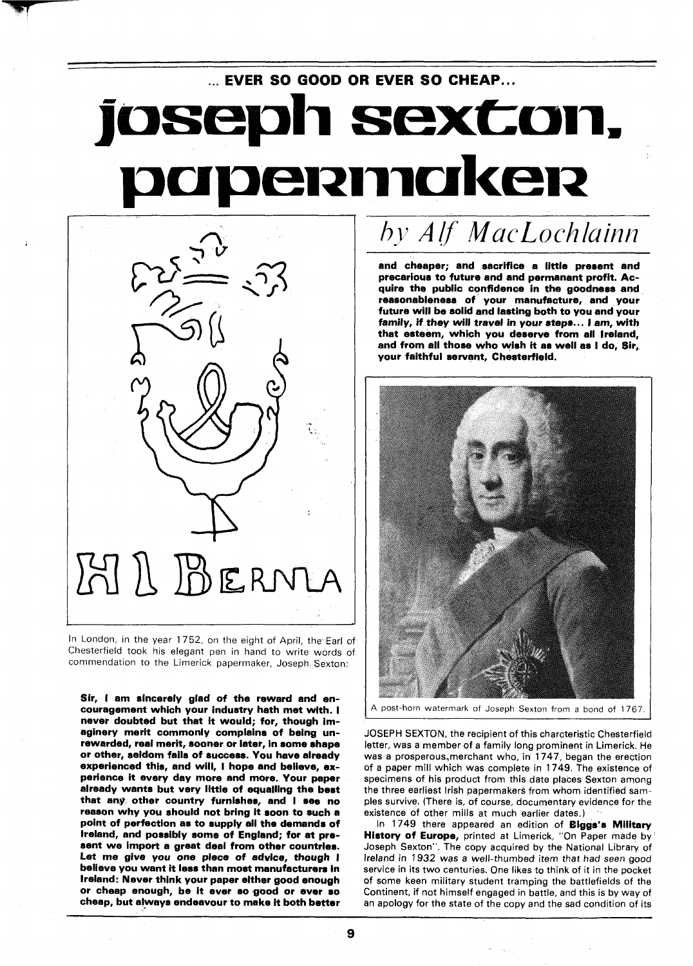## ... **EVER SO GOOD OR EVER SO CHEAP** ... oseph sexton, ermaker



In London, in the year 1752, on the eight of April, the Earl of Chesterfield took his elegant pen in hand to write words of commendation to the Limerick papermaker, Joseph Sexton:

Sir, I am sincerely glad of the reward and encouragement which your industry hath met with. I never doubted but that it would; for, though imaginery merit commonly complains of being unrewarded, real merit, sooner or later, in some shape or other, seldom fails of success. You have already experienced this, and will, I hope and believe, exexperienced this, and will, I hope and believe, ex-<br>perience it every day more and more. Your paper already wants but very little of equalling the best that any other country furnishes, and I see no reason why you should not bring it soon to such a point of perfection as to supply all the demands of Ireland, and possibly some of England; for at present we import a great deal from other countries. Let me give you one piece of advice, though I believe you want it less than most manufacturers in Ireland: Never think your paper either good enough or cheap enough, be it ever so good or ever so cheap, but always endeavour to make it both better

## by Alf MacLochlainn

and cheaper; and sacrifice a little present and precarious to future and and permanant profit. Acquire the public confidence in the goodness and reasonableness of your manufacture, and your future will be solid and lasting both to you and your family, if they will travel in your steps.. . I am, with that esteem, which you deserve from ail Ireland, and from all those who wish it as well as I do, Sir, your faithful servant, Chesterfield.



A post-horn watermark of Joseph Sexton from a bond of 1767.

JOSEPH SEXTON, the recipient of this charcteristic Chesterfield letter, was a member of a family long prominent in Limerick. He was a prosperous, merchant who, in 1747, began the erection of a paper mill which was complete in 1749. The existence of specimens of his product from this date places Sexton among the three earliest Irish papermakers from whom identified samples survive. (There is, of course, documentary evidence for the existence of other mills at much earlier dates.)

In 1749 there appeared an edition of Biggs's Military History of Europe, printed at Limerick, "On Paper made by Joseph Sexton". The copy acquired by the National Library of Ireland in **1932** was a well-thumbed item that had seen good service in its two centuries. One likes to think of it in the pocket of some keen military student tramping the battlefields of the Continent, if not himself engaged in battle, and this is by way of an apology for the state of the copy and the sad condition of its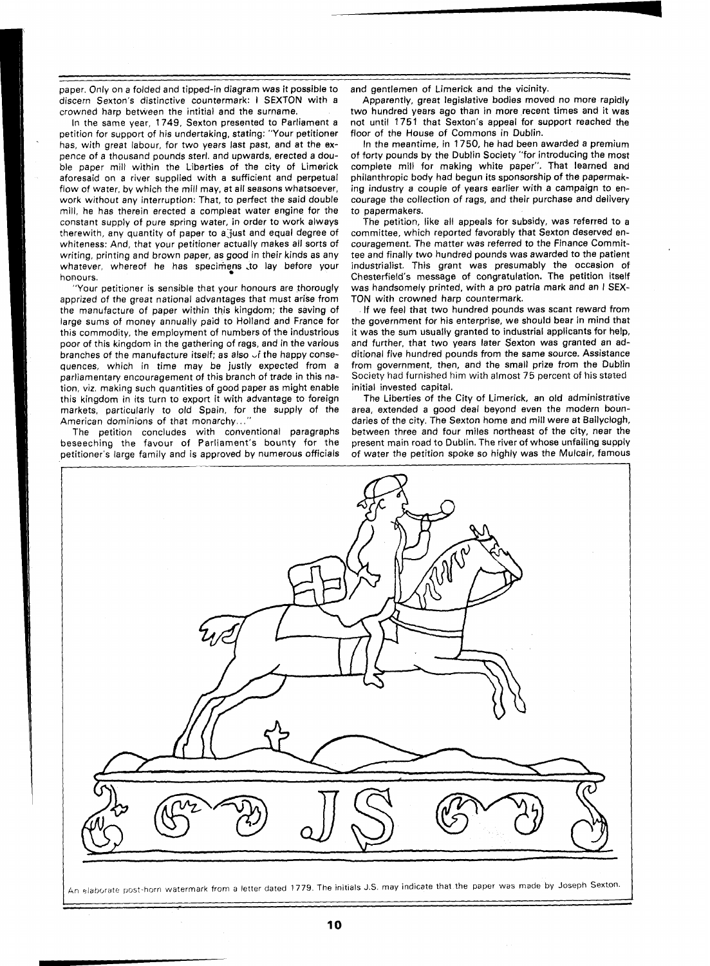paper. Only on a folded and tipped-in diagram was it possible to discern Sexton's distinctive countermark: I SEXTON with a crowned harp between the intitial and the surname.

In the same year, 1749, Sexton presented to Parliament a petition for support of his undertaking, stating: "Your petitioner has, with great labour, for two years last past, and at the expence of a thousand pounds sterl. and upwards, erected a double paper mill within the Liberties of the city of Limerick aforesaid on a river supplied with a sufficient and perpetual flow of water, by which the mill may, at all seasons whatsoever, work without any interruption: That, to perfect the said double mill, he has therein erected a compleat water engine for the constant supply of pure spring water, in order to work always therewith, any quantity of paper to a just and equal degree of whiteness: And, that your petitioner actually makes all sorts of writing, printing and brown paper, as good in their kinds as any whatever, whereof he has specimens to lay before your honours.

"Your petitioner is sensible that your honours are thorougly apprized of the great national advantages that must arise from the manufacture of paper within thjs kingdom; the saving of large sums of money annually paid to Holland and France for this commodity, the employment of numbers of the industrious poor of this kingdom in the gathering of rags, and in the various branches of the manufacture itself; as also  $\vee$ f the happy consequences, which in time may be justly expected from a parliamentary encouragement of this branch of trade in this nation, viz, making such quantities of good paper as might enable this kingdom in its turn to export it with advantage to foreign markets, particularly to old Spain, for the supply of the American dominions of that monarchy...

The petition concludes with conventional paragraphs beseeching the favour of Parliament's bounty for the petitioner's large family and is approved by numerous officials and gentlemen of Limerick and the vicinity.

Apparently, great legislative bodies moved no more rapidly two hundred years ago than in more recent times and it was not until 1751 that Sexton's appeal for support reached the floor of the House of Commons in Dublin.

In the meantime, in 1750, he had been awarded a premium of forty pounds by the Dublin Society "for introducing the most complete mill for making white paper". That learned and philanthropic body had begun its sponsorship of the papermaking industry a couple of years earlier with a campaign to encourage the collection of rags, and their purchase and delivery to papermakers.

The petition, like all appeals for subsidy, was referred to a committee, which reported favorably that Sexton deserved encouragement. The matter was referred to the Finance Committee and finally two hundred pounds was awarded to the patient industrialist. This grant was presumably the occasion of Chesterfield's message of congratulation. The petition itself was handsomely printed, with a pro patria mark and an I SEX-TON with crowned harp countermark.

If we feel that two hundred pounds was scant reward from the government for his enterprise, we should bear in mind that it was the sum usually granted to industrial applicants for help, and further, that two years later Sexton was granted an additional five hundred pounds from the same source. Assistance from government, then, and the small prize from the Dublin Society had furnished him with almost 75 percent of his stated initial invested capital.

The Liberties of the City of Limerick, an old administrative area, extended a good deal beyond even the modern boundaries of the city. The Sexton home and mill were at Ballyclogh, between three and four miles northeast of the city, near the present main road to Dublin. The river of whose unfailing supply of water the petition spoke so highly was the Mulcair, famous

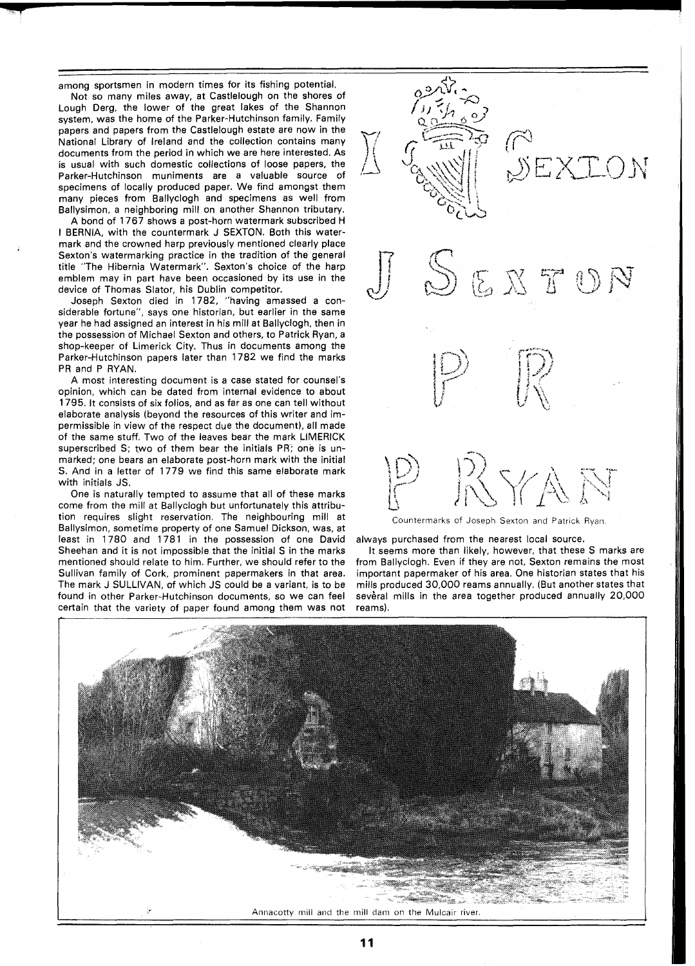among sportsmen in modern times for its fishing potential.

Not so many miles away, at Castlelough on the shores of Lough Derg, the lower of the great lakes of the Shannon system, was the home of the Parker-Hutchinson family. Family papers and papers from the Castlelough estate are now in the National Library of Ireland and the collection contains many documents from the period in which we are here interested. As is usual with such domestic collections of loose papers, the Parker-Hutchinson muniments are a valuable source of specimens of locally produced paper. We find amongst them many pieces from Ballyclogh and specimens as well from Ballysimon, a neighboring mill on another Shannon tributary.

A bond of 1767 shows a post-horn watermark subscribed H I BERNIA, with the countermark J SEXTON. Both this watermark and the crowned harp previously mentioned clearly place Sexton's watermarking practice in the tradition of the general title "The Hibernia Watermark". Sexton's choice of the harp emblem may in part have been occasioned by its use in the device of Thomas Slator, his Dublin competitor.

Joseph Sexton died in 1782, "having amassed a considerable fortune", says one historian, but earlier in the same year he had assigned an interest in his mill at Ballyclogh, then in the possession of Michael Sexton and others, to Patrick Ryan, a shop-keeper of Limerick City. Thus in documents among the Parker-Hutchinson papers later than 1782 we find the marks PR and P RYAN.

A most interesting document is a case stated for counsel's opinion, which can be dated from internal evidence to about 1795. It consists of six folios, and as far as one can tell without elaborate analysis (beyond the resources of this writer and impermissible in view of the respect due the document), all made of the same stuff. Two of the leaves bear the mark LIMERICK superscribed S; two of them bear the initials PR; one is unmarked; one bears an elaborate post-horn mark with the initial S. And in a letter of 1779 we find this same elaborate mark with initials JS.

One is naturally tempted to assume that all of these marks come from the mill at Ballyclogh but unfortunately this attribution requires slight reservation. The neighbouring mill at Ballysimon, sometime property of one Samuel Dickson, was, at least in 1780 and 1781 in the possession of one David Sheehan and it is not impossible that the initial S in the marks mentioned should relate to him. Further, we should refer to the Sullivan family of Cork, prominent papermakers in that area. The mark J SULLIVAN, of which JS could be a variant, is to be found in other Parker-Hutchinson documents, so we can feel certain that the variety of paper found among them was not



always purchased from the nearest local source.

It seems more than likely, however, that these S marks are from Ballyclogh. Even if they are not, Sexton remains the most important papermaker of his area. One historian states that his mills produced 30,000 reams annually. (But another states that several mills in the area together produced annually 20,000 reams).